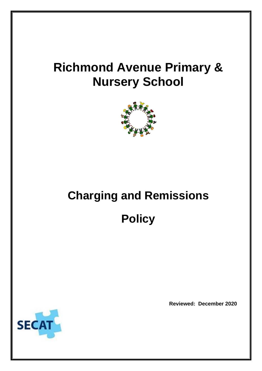## **Richmond Avenue Primary & Nursery School**



# **Charging and Remissions Policy**



**Reviewed: December 2020**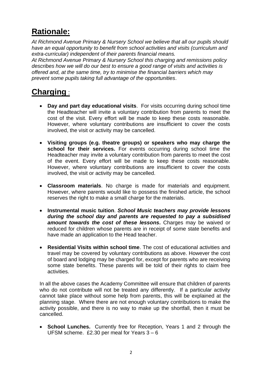## **Rationale:**

*At Richmond Avenue Primary & Nursery School we believe that all our pupils should have an equal opportunity to benefit from school activities and visits (curriculum and extra-curricular) independent of their parents financial means.*

*At Richmond Avenue Primary & Nursery School this charging and remissions policy describes how we will do our best to ensure a good range of visits and activities is offered and, at the same time, try to minimise the financial barriers which may prevent some pupils taking full advantage of the opportunities*.

### **Charging** :

- **Day and part day educational visits**. For visits occurring during school time the Headteacher will invite a voluntary contribution from parents to meet the cost of the visit. Every effort will be made to keep these costs reasonable. However, where voluntary contributions are insufficient to cover the costs involved, the visit or activity may be cancelled.
- **Visiting groups (e.g. theatre groups) or speakers who may charge the**  school for their services. For events occurring during school time the Headteacher may invite a voluntary contribution from parents to meet the cost of the event. Every effort will be made to keep these costs reasonable. However, where voluntary contributions are insufficient to cover the costs involved, the visit or activity may be cancelled.
- **Classroom materials**. No charge is made for materials and equipment. However, where parents would like to possess the finished article, the school reserves the right to make a small charge for the materials.
- **Instrumental music tuition**. *School Music teachers may provide lessons during the school day and parents are requested to pay a subsidised amount towards the cost of these lessons***.** Charges may be waived or reduced for children whose parents are in receipt of some state benefits and have made an application to the Head teacher.
- **Residential Visits within school time**. The cost of educational activities and travel may be covered by voluntary contributions as above. However the cost of board and lodging may be charged for, except for parents who are receiving some state benefits. These parents will be told of their rights to claim free activities.

In all the above cases the Academy Committee will ensure that children of parents who do not contribute will not be treated any differently. If a particular activity cannot take place without some help from parents, this will be explained at the planning stage. Where there are not enough voluntary contributions to make the activity possible, and there is no way to make up the shortfall, then it must be cancelled.

• **School Lunches.** Currently free for Reception, Years 1 and 2 through the UFSM scheme. £2.30 per meal for Years 3 – 6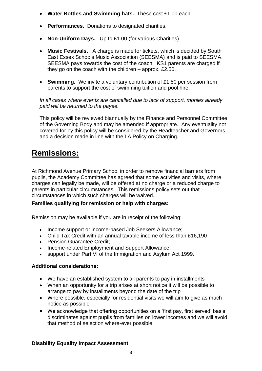- **Water Bottles and Swimming hats.** These cost £1.00 each.
- **Performances.** Donations to designated charities.
- **Non-Uniform Days.** Up to £1.00 (for various Charities)
- **Music Festivals.** A charge is made for tickets, which is decided by South East Essex Schools Music Association (SEESMA) and is paid to SEESMA. SEESMA pays towards the cost of the coach. KS1 parents are charged if they go on the coach with the children – approx. £2.50.
- **Swimming.** We invite a voluntary contribution of £1.50 per session from parents to support the cost of swimming tuition and pool hire.

*In all cases where events are cancelled due to lack of support, monies already paid will be returned to the payee.*

This policy will be reviewed biannually by the Finance and Personnel Committee of the Governing Body and may be amended if appropriate. Any eventuality not covered for by this policy will be considered by the Headteacher and Governors and a decision made in line with the LA Policy on Charging.

## **Remissions:**

At Richmond Avenue Primary School in order to remove financial barriers from pupils, the Academy Committee has agreed that some activities and visits, where charges can legally be made, will be offered at no charge or a reduced charge to parents in particular circumstances. This remissions policy sets out that circumstances in which such charges will be waived.

#### **Families qualifying for remission or help with charges:**

Remission may be available if you are in receipt of the following:

- Income support or income-based Job Seekers Allowance;
- Child Tax Credit with an annual taxable income of less than £16,190
- Pension Guarantee Credit;
- Income-related Employment and Support Allowance;
- support under Part VI of the Immigration and Asylum Act 1999.

#### **Additional considerations:**

- We have an established system to all parents to pay in installments
- When an opportunity for a trip arises at short notice it will be possible to arrange to pay by installments beyond the date of the trip
- Where possible, especially for residential visits we will aim to give as much notice as possible
- We acknowledge that offering opportunities on a 'first pay, first served' basis discriminates against pupils from families on lower incomes and we will avoid that method of selection where-ever possible.

#### **Disability Equality Impact Assessment**